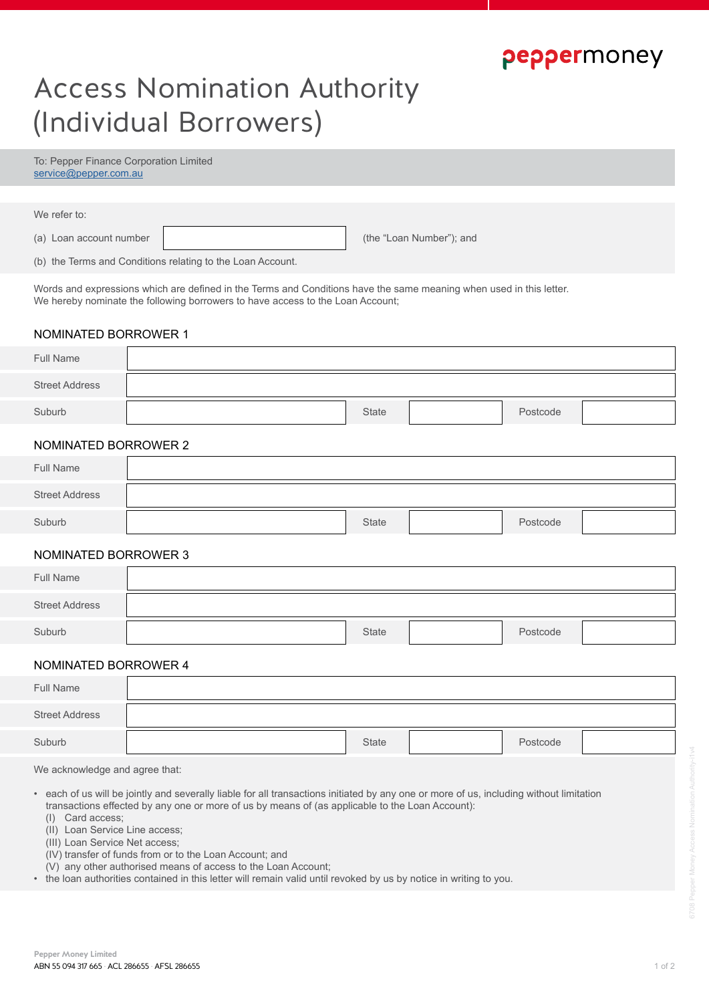# peppermoney

Postcode

# Access Nomination Authority (Individual Borrowers)

To: Pepper Finance Corporation Limited service@pepper.com.au

| We refer to:                                                                                                                                                                                          |  |                          |  |  |  |
|-------------------------------------------------------------------------------------------------------------------------------------------------------------------------------------------------------|--|--------------------------|--|--|--|
| (a) Loan account number                                                                                                                                                                               |  | (the "Loan Number"); and |  |  |  |
| (b) the Terms and Conditions relating to the Loan Account.                                                                                                                                            |  |                          |  |  |  |
| Words and expressions which are defined in the Terms and Conditions have the same meaning when used in this letter.<br>We hereby nominate the following borrowers to have access to the Loan Account; |  |                          |  |  |  |
| NOMINATED BORROWER 1                                                                                                                                                                                  |  |                          |  |  |  |
| <b>Full Name</b>                                                                                                                                                                                      |  |                          |  |  |  |
| <b>Street Address</b>                                                                                                                                                                                 |  |                          |  |  |  |

#### NOMINATED BORROWER 2

Suburb

| Full Name             |              |          |  |
|-----------------------|--------------|----------|--|
| <b>Street Address</b> |              |          |  |
| Suburb                | <b>State</b> | Postcode |  |

**State** 

#### NOMINATED BORROWER 3

| Full Name             |       |          |  |
|-----------------------|-------|----------|--|
| <b>Street Address</b> |       |          |  |
| Suburb                | State | Postcode |  |

#### NOMINATED BORROWER 4

| Full Name             |       |          |  |
|-----------------------|-------|----------|--|
| <b>Street Address</b> |       |          |  |
| Suburb                | State | Postcode |  |

We acknowledge and agree that:

- each of us will be jointly and severally liable for all transactions initiated by any one or more of us, including without limitation transactions effected by any one or more of us by means of (as applicable to the Loan Account):
	- (I) Card access;
	- (II) Loan Service Line access;

(III) Loan Service Net access;

- (IV) transfer of funds from or to the Loan Account; and
- (V) any other authorised means of access to the Loan Account;
- the loan authorities contained in this letter will remain valid until revoked by us by notice in writing to you.